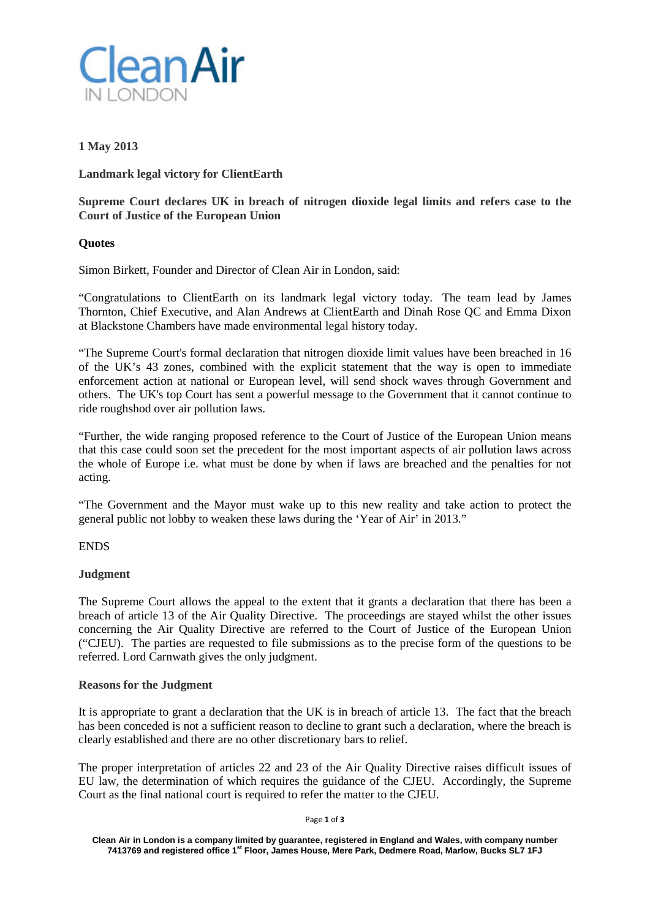

# **1 May 2013**

**Landmark legal victory for ClientEarth**

**Supreme Court declares UK in breach of nitrogen dioxide legal limits and refers case to the Court of Justice of the European Union**

## **Quotes**

Simon Birkett, Founder and Director of Clean Air in London, said:

"Congratulations to ClientEarth on its landmark legal victory today. The team lead by James Thornton, Chief Executive, and Alan Andrews at ClientEarth and Dinah Rose QC and Emma Dixon at Blackstone Chambers have made environmental legal history today.

"The Supreme Court's formal declaration that nitrogen dioxide limit values have been breached in 16 of the UK's 43 zones, combined with the explicit statement that the way is open to immediate enforcement action at national or European level, will send shock waves through Government and others. The UK's top Court has sent a powerful message to the Government that it cannot continue to ride roughshod over air pollution laws.

"Further, the wide ranging proposed reference to the Court of Justice of the European Union means that this case could soon set the precedent for the most important aspects of air pollution laws across the whole of Europe i.e. what must be done by when if laws are breached and the penalties for not acting.

"The Government and the Mayor must wake up to this new reality and take action to protect the general public not lobby to weaken these laws during the 'Year of Air' in 2013."

## ENDS

## **Judgment**

The Supreme Court allows the appeal to the extent that it grants a declaration that there has been a breach of article 13 of the Air Quality Directive. The proceedings are stayed whilst the other issues concerning the Air Quality Directive are referred to the Court of Justice of the European Union ("CJEU). The parties are requested to file submissions as to the precise form of the questions to be referred. Lord Carnwath gives the only judgment.

## **Reasons for the Judgment**

It is appropriate to grant a declaration that the UK is in breach of article 13. The fact that the breach has been conceded is not a sufficient reason to decline to grant such a declaration, where the breach is clearly established and there are no other discretionary bars to relief.

The proper interpretation of articles 22 and 23 of the Air Quality Directive raises difficult issues of EU law, the determination of which requires the guidance of the CJEU. Accordingly, the Supreme Court as the final national court is required to refer the matter to the CJEU.

Page **1** of **3**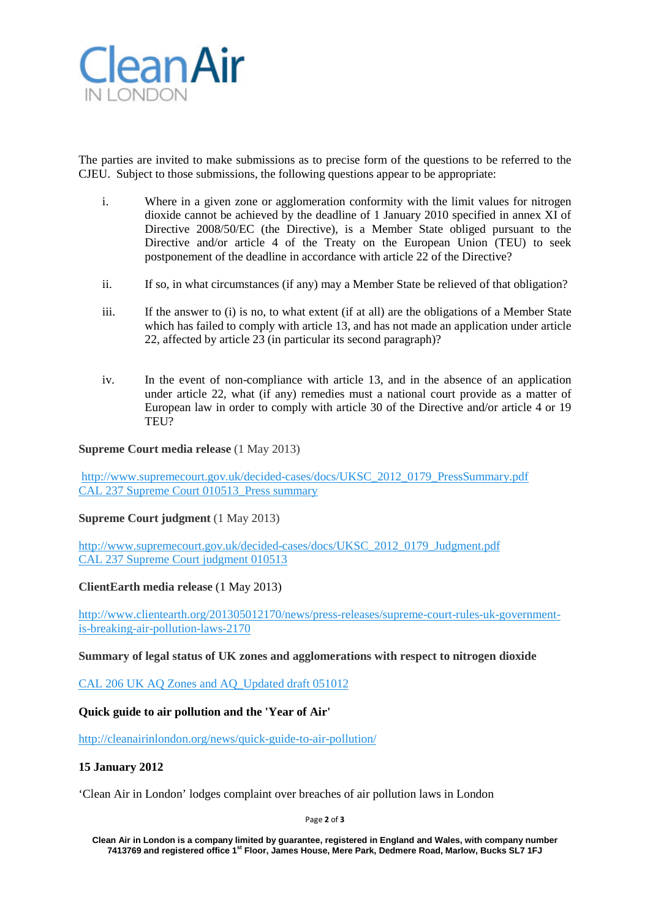

The parties are invited to make submissions as to precise form of the questions to be referred to the CJEU. Subject to those submissions, the following questions appear to be appropriate:

- i. Where in a given zone or agglomeration conformity with the limit values for nitrogen dioxide cannot be achieved by the deadline of 1 January 2010 specified in annex XI of Directive 2008/50/EC (the Directive), is a Member State obliged pursuant to the Directive and/or article 4 of the Treaty on the European Union (TEU) to seek postponement of the deadline in accordance with article 22 of the Directive?
- ii. If so, in what circumstances (if any) may a Member State be relieved of that obligation?
- iii. If the answer to (i) is no, to what extent (if at all) are the obligations of a Member State which has failed to comply with article 13, and has not made an application under article 22, affected by article 23 (in particular its second paragraph)?
- iv. In the event of non-compliance with article 13, and in the absence of an application under article 22, what (if any) remedies must a national court provide as a matter of European law in order to comply with article 30 of the Directive and/or article 4 or 19 TEU?

## **Supreme Court media release** (1 May 2013)

[http://www.supremecourt.gov.uk/decided-cases/docs/UKSC\\_2012\\_0179\\_PressSummary.pdf](http://www.supremecourt.gov.uk/decided-cases/docs/UKSC_2012_0179_PressSummary.pdf) [CAL 237 Supreme Court 010513\\_Press summary](http://cleanairinlondon.org/?attachment_id=5169)

## **Supreme Court judgment** (1 May 2013)

[http://www.supremecourt.gov.uk/decided-cases/docs/UKSC\\_2012\\_0179\\_Judgment.pdf](http://www.supremecourt.gov.uk/decided-cases/docs/UKSC_2012_0179_Judgment.pdf) [CAL 237 Supreme Court judgment 010513](http://cleanairinlondon.org/?attachment_id=5170)

## **ClientEarth media release** (1 May 2013)

[http://www.clientearth.org/201305012170/news/press-releases/supreme-court-rules-uk-government](http://www.clientearth.org/201305012170/news/press-releases/supreme-court-rules-uk-government-is-breaking-air-pollution-laws-2170)[is-breaking-air-pollution-laws-2170](http://www.clientearth.org/201305012170/news/press-releases/supreme-court-rules-uk-government-is-breaking-air-pollution-laws-2170)

## **Summary of legal status of UK zones and agglomerations with respect to nitrogen dioxide**

[CAL 206 UK AQ Zones and AQ\\_Updated draft 051012](http://cleanairinlondon.org/?attachment_id=5171)

## **Quick guide to air pollution and the 'Year of Air'**

<http://cleanairinlondon.org/news/quick-guide-to-air-pollution/>

## **15 January 2012**

'Clean Air in London' lodges complaint over breaches of air pollution laws in London

Page **2** of **3**